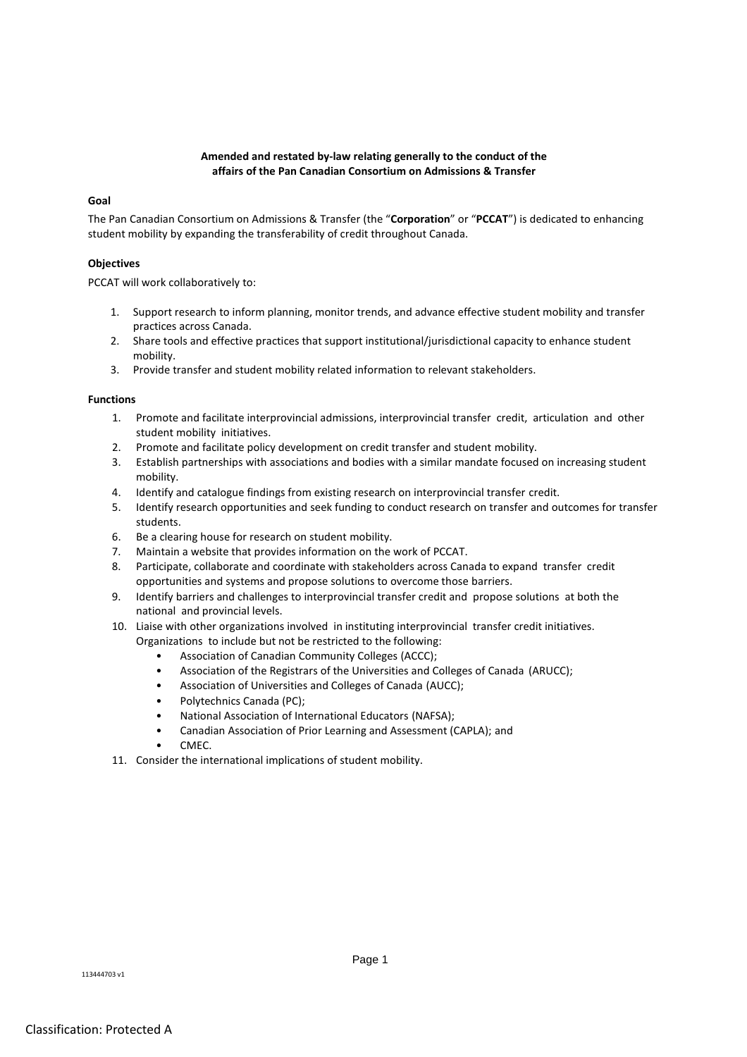# **Amended and restated by-law relating generally to the conduct of the affairs of the Pan Canadian Consortium on Admissions & Transfer**

# **Goal**

The Pan Canadian Consortium on Admissions & Transfer (the "**Corporation**" or "**PCCAT**") is dedicated to enhancing student mobility by expanding the transferability of credit throughout Canada.

# **Objectives**

PCCAT will work collaboratively to:

- 1. Support research to inform planning, monitor trends, and advance effective student mobility and transfer practices across Canada.
- 2. Share tools and effective practices that support institutional/jurisdictional capacity to enhance student mobility.
- 3. Provide transfer and student mobility related information to relevant stakeholders.

# **Functions**

- 1. Promote and facilitate interprovincial admissions, interprovincial transfer credit, articulation and other student mobility initiatives.
- 2. Promote and facilitate policy development on credit transfer and student mobility.
- 3. Establish partnerships with associations and bodies with a similar mandate focused on increasing student mobility.
- 4. Identify and catalogue findings from existing research on interprovincial transfer credit.
- 5. Identify research opportunities and seek funding to conduct research on transfer and outcomes for transfer students.
- 6. Be a clearing house for research on student mobility.
- 7. Maintain a website that provides information on the work of PCCAT.
- 8. Participate, collaborate and coordinate with stakeholders across Canada to expand transfer credit opportunities and systems and propose solutions to overcome those barriers.
- 9. Identify barriers and challenges to interprovincial transfer credit and propose solutions at both the national and provincial levels.
- 10. Liaise with other organizations involved in instituting interprovincial transfer credit initiatives.
	- Organizations to include but not be restricted to the following:
		- Association of Canadian Community Colleges (ACCC);
		- Association of the Registrars of the Universities and Colleges of Canada (ARUCC);
		- Association of Universities and Colleges of Canada (AUCC);
		- Polytechnics Canada (PC);
		- National Association of International Educators (NAFSA);
		- Canadian Association of Prior Learning and Assessment (CAPLA); and
		- CMEC.
- 11. Consider the international implications of student mobility.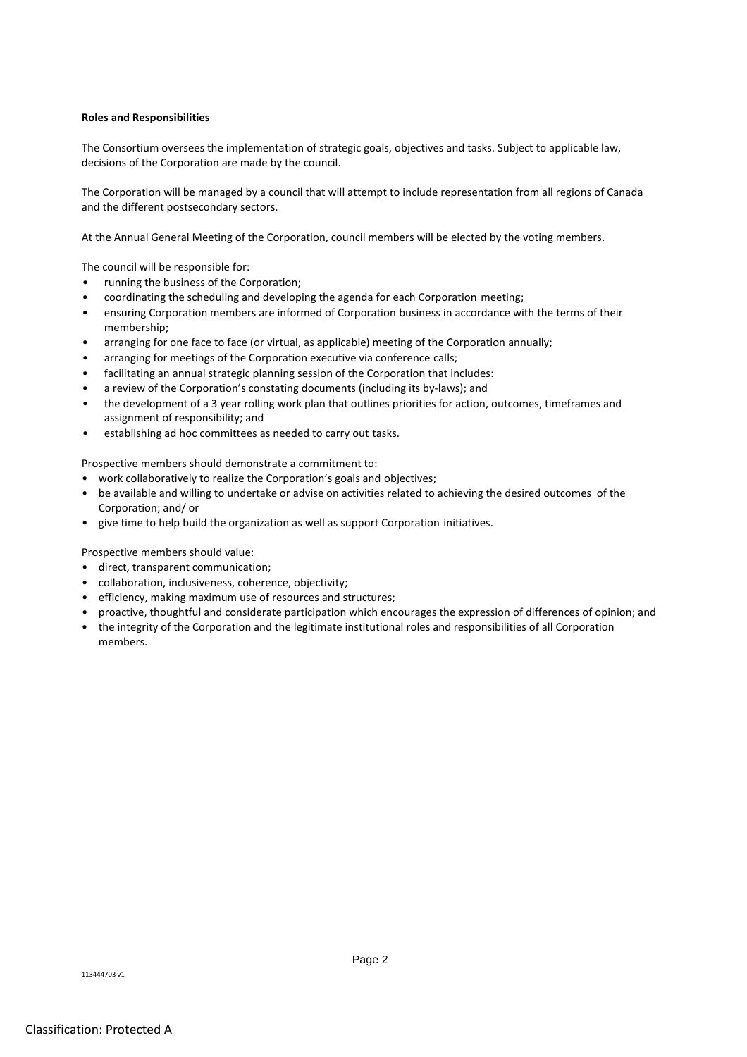## **Roles and Responsibilities**

The Consortium oversees the implementation of strategic goals, objectives and tasks. Subject to applicable law, decisions of the Corporation are made by the council.

The Corporation will be managed by a council that will attempt to include representation from all regions of Canada and the different postsecondary sectors.

At the Annual General Meeting of the Corporation, council members will be elected by the voting members.

The council will be responsible for:

- running the business of the Corporation;
- coordinating the scheduling and developing the agenda for each Corporation meeting;
- ensuring Corporation members are informed of Corporation business in accordance with the terms of their membership;
- arranging for one face to face (or virtual, as applicable) meeting of the Corporation annually;
- arranging for meetings of the Corporation executive via conference calls;
- facilitating an annual strategic planning session of the Corporation that includes:
- a review of the Corporation's constating documents (including its by-laws); and
- the development of a 3 year rolling work plan that outlines priorities for action, outcomes, timeframes and assignment of responsibility; and
- establishing ad hoc committees as needed to carry out tasks.

Prospective members should demonstrate a commitment to:

- work collaboratively to realize the Corporation's goals and objectives;
- be available and willing to undertake or advise on activities related to achieving the desired outcomes of the Corporation; and/ or
- give time to help build the organization as well as support Corporation initiatives.

Prospective members should value:

- direct, transparent communication;
- collaboration, inclusiveness, coherence, objectivity;
- efficiency, making maximum use of resources and structures;
- proactive, thoughtful and considerate participation which encourages the expression of differences of opinion; and
- the integrity of the Corporation and the legitimate institutional roles and responsibilities of all Corporation members.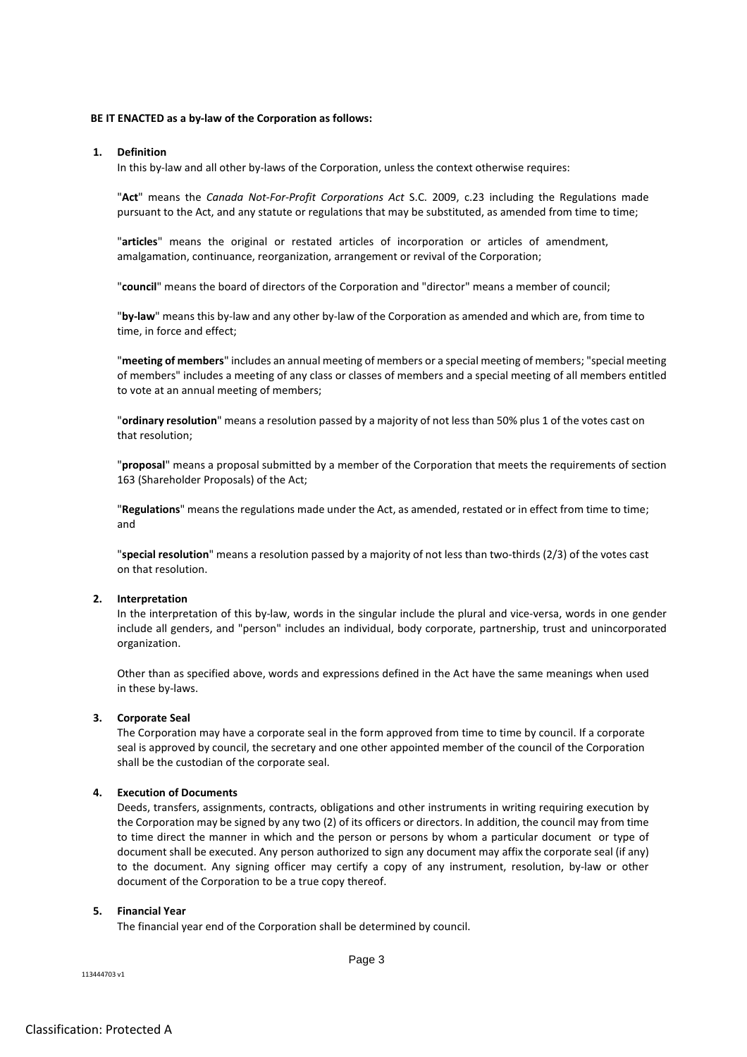# **BE IT ENACTED as a by-law of the Corporation as follows:**

## **1. Definition**

In this by-law and all other by-laws of the Corporation, unless the context otherwise requires:

"**Act**" means the *Canada Not-For-Profit Corporations Act* S.C. 2009, c.23 including the Regulations made pursuant to the Act, and any statute or regulations that may be substituted, as amended from time to time;

"**articles**" means the original or restated articles of incorporation or articles of amendment, amalgamation, continuance, reorganization, arrangement or revival of the Corporation;

"**council**" means the board of directors of the Corporation and "director" means a member of council;

"**by-law**" means this by-law and any other by-law of the Corporation as amended and which are, from time to time, in force and effect;

"**meeting of members**" includes an annual meeting of members or a special meeting of members; "special meeting of members" includes a meeting of any class or classes of members and a special meeting of all members entitled to vote at an annual meeting of members;

"**ordinary resolution**" means a resolution passed by a majority of not less than 50% plus 1 of the votes cast on that resolution;

"**proposal**" means a proposal submitted by a member of the Corporation that meets the requirements of section 163 (Shareholder Proposals) of the Act;

"**Regulations**" means the regulations made under the Act, as amended, restated or in effect from time to time; and

"**special resolution**" means a resolution passed by a majority of not less than two-thirds (2/3) of the votes cast on that resolution.

#### **2. Interpretation**

In the interpretation of this by-law, words in the singular include the plural and vice-versa, words in one gender include all genders, and "person" includes an individual, body corporate, partnership, trust and unincorporated organization.

Other than as specified above, words and expressions defined in the Act have the same meanings when used in these by-laws.

#### **3. Corporate Seal**

The Corporation may have a corporate seal in the form approved from time to time by council. If a corporate seal is approved by council, the secretary and one other appointed member of the council of the Corporation shall be the custodian of the corporate seal.

### **4. Execution of Documents**

Deeds, transfers, assignments, contracts, obligations and other instruments in writing requiring execution by the Corporation may be signed by any two (2) of its officers or directors. In addition, the council may from time to time direct the manner in which and the person or persons by whom a particular document or type of document shall be executed. Any person authorized to sign any document may affix the corporate seal (if any) to the document. Any signing officer may certify a copy of any instrument, resolution, by-law or other document of the Corporation to be a true copy thereof.

## **5. Financial Year**

The financial year end of the Corporation shall be determined by council.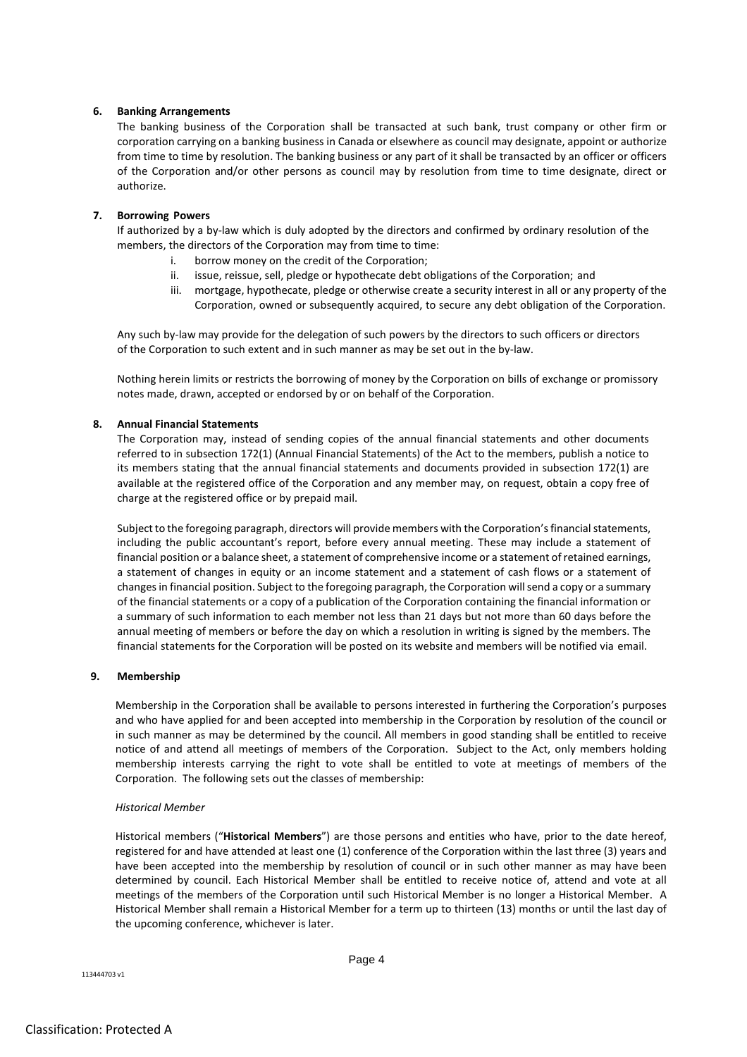# **6. Banking Arrangements**

The banking business of the Corporation shall be transacted at such bank, trust company or other firm or corporation carrying on a banking business in Canada or elsewhere as council may designate, appoint or authorize from time to time by resolution. The banking business or any part of it shall be transacted by an officer or officers of the Corporation and/or other persons as council may by resolution from time to time designate, direct or authorize.

# **7. Borrowing Powers**

If authorized by a by-law which is duly adopted by the directors and confirmed by ordinary resolution of the members, the directors of the Corporation may from time to time:

- i. borrow money on the credit of the Corporation;
- ii. issue, reissue, sell, pledge or hypothecate debt obligations of the Corporation; and
- iii. mortgage, hypothecate, pledge or otherwise create a security interest in all or any property of the Corporation, owned or subsequently acquired, to secure any debt obligation of the Corporation.

Any such by-law may provide for the delegation of such powers by the directors to such officers or directors of the Corporation to such extent and in such manner as may be set out in the by-law.

Nothing herein limits or restricts the borrowing of money by the Corporation on bills of exchange or promissory notes made, drawn, accepted or endorsed by or on behalf of the Corporation.

# **8. Annual Financial Statements**

The Corporation may, instead of sending copies of the annual financial statements and other documents referred to in subsection 172(1) (Annual Financial Statements) of the Act to the members, publish a notice to its members stating that the annual financial statements and documents provided in subsection 172(1) are available at the registered office of the Corporation and any member may, on request, obtain a copy free of charge at the registered office or by prepaid mail.

Subject to the foregoing paragraph, directors will provide members with the Corporation'sfinancial statements, including the public accountant's report, before every annual meeting. These may include a statement of financial position or a balance sheet, a statement of comprehensive income or a statement of retained earnings, a statement of changes in equity or an income statement and a statement of cash flows or a statement of changes in financial position. Subject to the foregoing paragraph, the Corporation will send a copy or a summary of the financial statements or a copy of a publication of the Corporation containing the financial information or a summary of such information to each member not less than 21 days but not more than 60 days before the annual meeting of members or before the day on which a resolution in writing is signed by the members. The financial statements for the Corporation will be posted on its website and members will be notified via email.

# **9. Membership**

Membership in the Corporation shall be available to persons interested in furthering the Corporation's purposes and who have applied for and been accepted into membership in the Corporation by resolution of the council or in such manner as may be determined by the council. All members in good standing shall be entitled to receive notice of and attend all meetings of members of the Corporation. Subject to the Act, only members holding membership interests carrying the right to vote shall be entitled to vote at meetings of members of the Corporation. The following sets out the classes of membership:

# *Historical Member*

Historical members ("**Historical Members**") are those persons and entities who have, prior to the date hereof, registered for and have attended at least one (1) conference of the Corporation within the last three (3) years and have been accepted into the membership by resolution of council or in such other manner as may have been determined by council. Each Historical Member shall be entitled to receive notice of, attend and vote at all meetings of the members of the Corporation until such Historical Member is no longer a Historical Member. A Historical Member shall remain a Historical Member for a term up to thirteen (13) months or until the last day of the upcoming conference, whichever is later.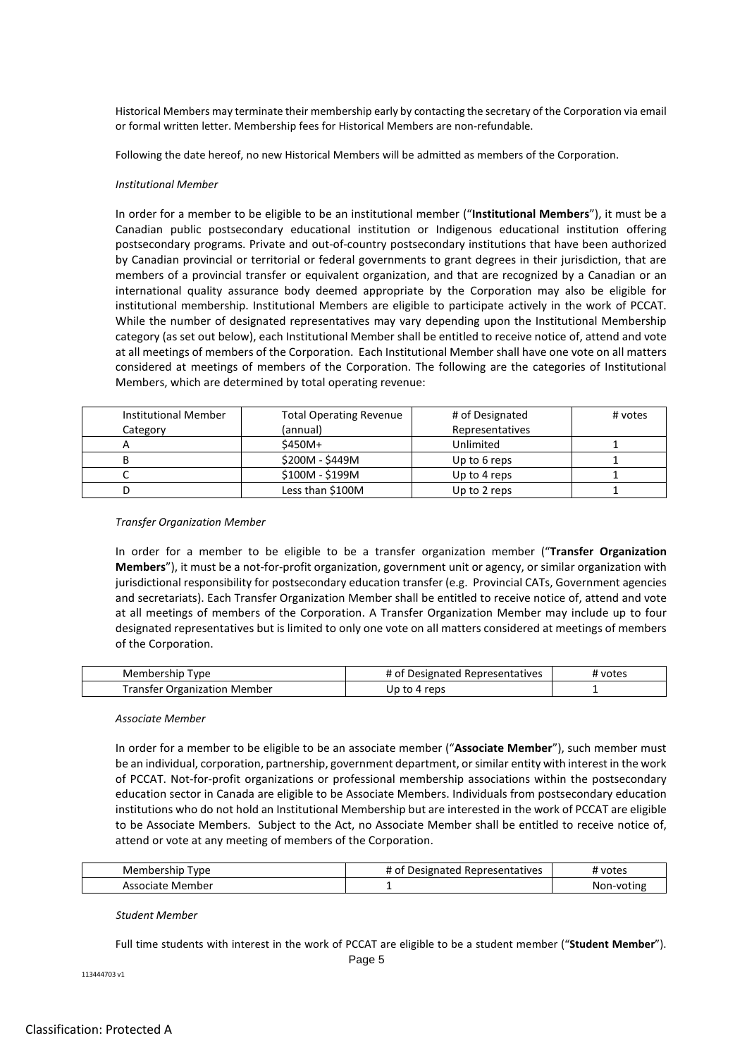Historical Members may terminate their membership early by contacting the secretary of the Corporation via email or formal written letter. Membership fees for Historical Members are non-refundable.

Following the date hereof, no new Historical Members will be admitted as members of the Corporation.

## *Institutional Member*

In order for a member to be eligible to be an institutional member ("**Institutional Members**"), it must be a Canadian public postsecondary educational institution or Indigenous educational institution offering postsecondary programs. Private and out-of-country postsecondary institutions that have been authorized by Canadian provincial or territorial or federal governments to grant degrees in their jurisdiction, that are members of a provincial transfer or equivalent organization, and that are recognized by a Canadian or an international quality assurance body deemed appropriate by the Corporation may also be eligible for institutional membership. Institutional Members are eligible to participate actively in the work of PCCAT. While the number of designated representatives may vary depending upon the Institutional Membership category (as set out below), each Institutional Member shall be entitled to receive notice of, attend and vote at all meetings of members of the Corporation. Each Institutional Member shall have one vote on all matters considered at meetings of members of the Corporation. The following are the categories of Institutional Members, which are determined by total operating revenue:

| <b>Institutional Member</b> | <b>Total Operating Revenue</b> | # of Designated | # votes |
|-----------------------------|--------------------------------|-----------------|---------|
| Category                    | (annual)                       | Representatives |         |
|                             | \$450M+                        | Unlimited       |         |
|                             | \$200M - \$449M                | Up to 6 reps    |         |
|                             | \$100M - \$199M                | Up to 4 reps    |         |
|                             | Less than \$100M               | Up to 2 reps    |         |

#### *Transfer Organization Member*

In order for a member to be eligible to be a transfer organization member ("**Transfer Organization Members**"), it must be a not-for-profit organization, government unit or agency, or similar organization with jurisdictional responsibility for postsecondary education transfer (e.g. Provincial CATs, Government agencies and secretariats). Each Transfer Organization Member shall be entitled to receive notice of, attend and vote at all meetings of members of the Corporation. A Transfer Organization Member may include up to four designated representatives but is limited to only one vote on all matters considered at meetings of members of the Corporation.

| Membership Type                     | # of Designated Representatives | 4 votes |
|-------------------------------------|---------------------------------|---------|
| <b>Transfer Organization Member</b> | Up to 4 reps                    |         |

#### *Associate Member*

In order for a member to be eligible to be an associate member ("**Associate Member**"), such member must be an individual, corporation, partnership, government department, or similar entity with interest in the work of PCCAT. Not-for-profit organizations or professional membership associations within the postsecondary education sector in Canada are eligible to be Associate Members. Individuals from postsecondary education institutions who do not hold an Institutional Membership but are interested in the work of PCCAT are eligible to be Associate Members. Subject to the Act, no Associate Member shall be entitled to receive notice of, attend or vote at any meeting of members of the Corporation.

| Membership<br><b>Type</b> | Representatives<br># of<br>Designated | votes      |
|---------------------------|---------------------------------------|------------|
| . Member<br>Associate     |                                       | Non-votinc |

#### *Student Member*

Full time students with interest in the work of PCCAT are eligible to be a student member ("**Student Member**").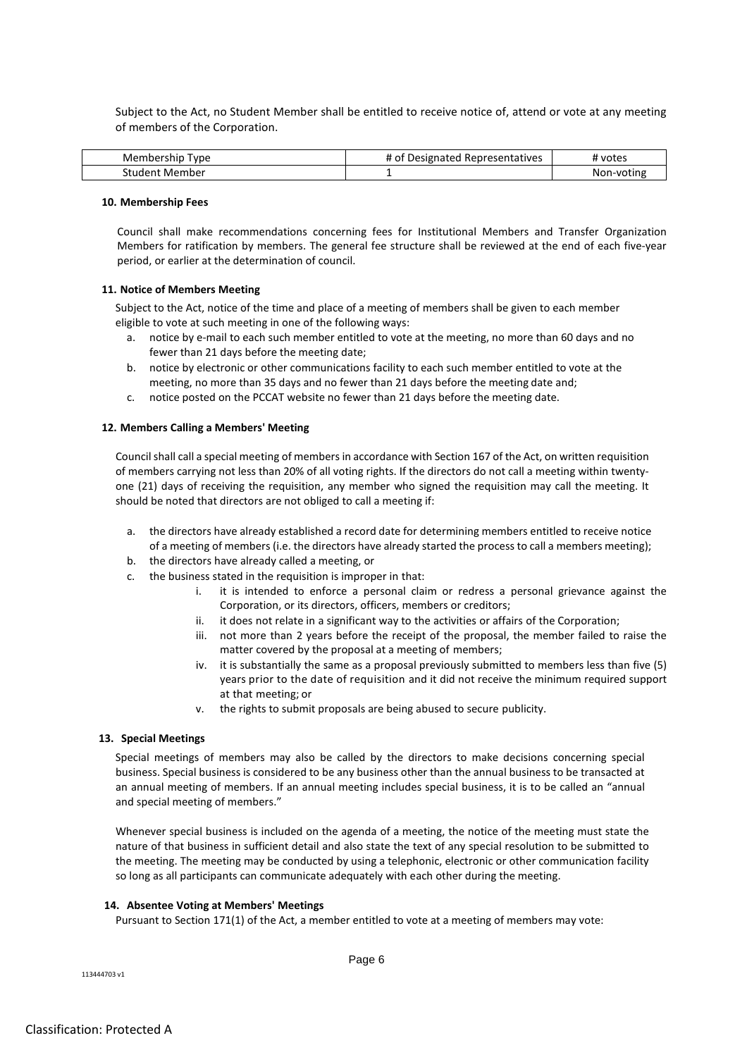Subject to the Act, no Student Member shall be entitled to receive notice of, attend or vote at any meeting of members of the Corporation.

| vpe<br>embership.<br>.<br>wlem. | <br>Representatives<br>Designated<br>4 OI | votes                                 |
|---------------------------------|-------------------------------------------|---------------------------------------|
| . Member<br>→TUNAPT             |                                           | $-1$ is $-$<br>-votin⊾<br>.√on∹<br>NC |

# **10. Membership Fees**

Council shall make recommendations concerning fees for Institutional Members and Transfer Organization Members for ratification by members. The general fee structure shall be reviewed at the end of each five-year period, or earlier at the determination of council.

# **11. Notice of Members Meeting**

Subject to the Act, notice of the time and place of a meeting of members shall be given to each member eligible to vote at such meeting in one of the following ways:

- a. notice by e-mail to each such member entitled to vote at the meeting, no more than 60 days and no fewer than 21 days before the meeting date;
- b. notice by electronic or other communications facility to each such member entitled to vote at the meeting, no more than 35 days and no fewer than 21 days before the meeting date and;
- c. notice posted on the PCCAT website no fewer than 21 days before the meeting date.

# **12. Members Calling a Members' Meeting**

Council shall call a special meeting of members in accordance with Section 167 of the Act, on written requisition of members carrying not less than 20% of all voting rights. If the directors do not call a meeting within twentyone (21) days of receiving the requisition, any member who signed the requisition may call the meeting. It should be noted that directors are not obliged to call a meeting if:

- a. the directors have already established a record date for determining members entitled to receive notice of a meeting of members (i.e. the directors have already started the process to call a members meeting);
- b. the directors have already called a meeting, or
- c. the business stated in the requisition is improper in that:
	- i. it is intended to enforce a personal claim or redress a personal grievance against the Corporation, or its directors, officers, members or creditors;
	- ii. it does not relate in a significant way to the activities or affairs of the Corporation;
	- iii. not more than 2 years before the receipt of the proposal, the member failed to raise the matter covered by the proposal at a meeting of members;
	- iv. it is substantially the same as a proposal previously submitted to members less than five (5) years prior to the date of requisition and it did not receive the minimum required support at that meeting; or
	- v. the rights to submit proposals are being abused to secure publicity.

# **13. Special Meetings**

Special meetings of members may also be called by the directors to make decisions concerning special business. Special business is considered to be any business other than the annual business to be transacted at an annual meeting of members. If an annual meeting includes special business, it is to be called an "annual and special meeting of members."

Whenever special business is included on the agenda of a meeting, the notice of the meeting must state the nature of that business in sufficient detail and also state the text of any special resolution to be submitted to the meeting. The meeting may be conducted by using a telephonic, electronic or other communication facility so long as all participants can communicate adequately with each other during the meeting.

# **14. Absentee Voting at Members' Meetings**

Pursuant to Section 171(1) of the Act, a member entitled to vote at a meeting of members may vote: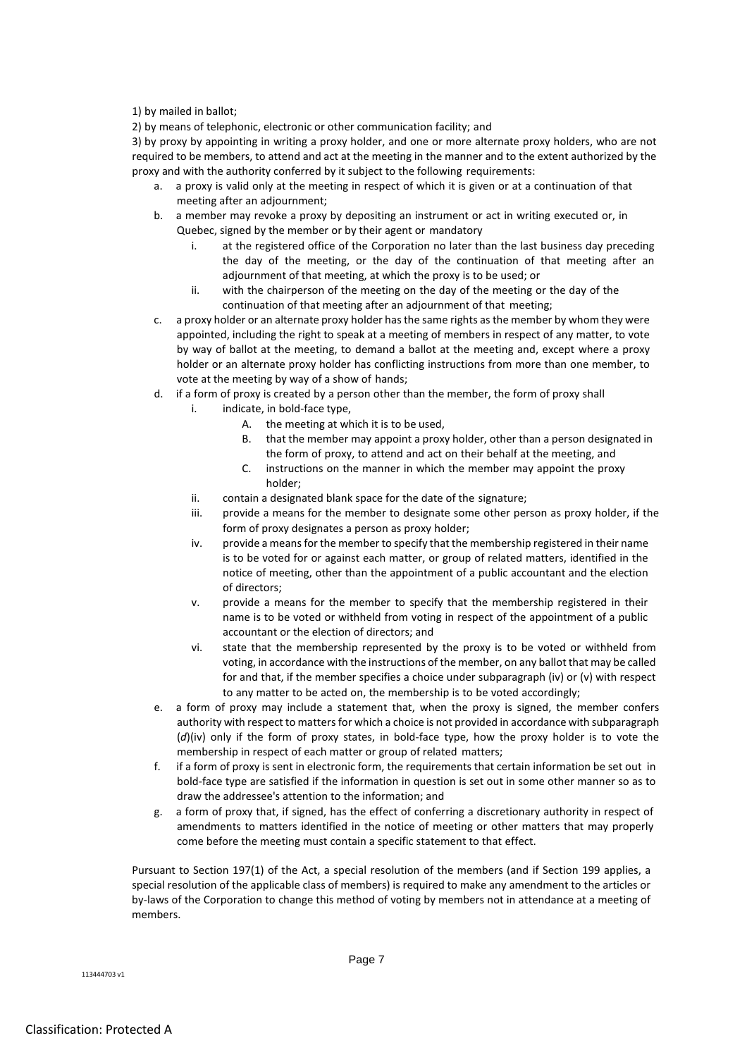# 1) by mailed in ballot;

2) by means of telephonic, electronic or other communication facility; and

3) by proxy by appointing in writing a proxy holder, and one or more alternate proxy holders, who are not required to be members, to attend and act at the meeting in the manner and to the extent authorized by the proxy and with the authority conferred by it subject to the following requirements:

- a. a proxy is valid only at the meeting in respect of which it is given or at a continuation of that meeting after an adjournment;
- b. a member may revoke a proxy by depositing an instrument or act in writing executed or, in Quebec, signed by the member or by their agent or mandatory
	- i. at the registered office of the Corporation no later than the last business day preceding the day of the meeting, or the day of the continuation of that meeting after an adjournment of that meeting, at which the proxy is to be used; or
	- ii. with the chairperson of the meeting on the day of the meeting or the day of the continuation of that meeting after an adjournment of that meeting;
- c. a proxy holder or an alternate proxy holder has the same rights as the member by whom they were appointed, including the right to speak at a meeting of members in respect of any matter, to vote by way of ballot at the meeting, to demand a ballot at the meeting and, except where a proxy holder or an alternate proxy holder has conflicting instructions from more than one member, to vote at the meeting by way of a show of hands;
- d. if a form of proxy is created by a person other than the member, the form of proxy shall
	- i. indicate, in bold-face type,
		- A. the meeting at which it is to be used,
		- B. that the member may appoint a proxy holder, other than a person designated in the form of proxy, to attend and act on their behalf at the meeting, and
		- C. instructions on the manner in which the member may appoint the proxy holder;
	- ii. contain a designated blank space for the date of the signature;
	- iii. provide a means for the member to designate some other person as proxy holder, if the form of proxy designates a person as proxy holder;
	- iv. provide a means for the member to specify that the membership registered in their name is to be voted for or against each matter, or group of related matters, identified in the notice of meeting, other than the appointment of a public accountant and the election of directors;
	- v. provide a means for the member to specify that the membership registered in their name is to be voted or withheld from voting in respect of the appointment of a public accountant or the election of directors; and
	- vi. state that the membership represented by the proxy is to be voted or withheld from voting, in accordance with the instructions of the member, on any ballot that may be called for and that, if the member specifies a choice under subparagraph (iv) or (v) with respect to any matter to be acted on, the membership is to be voted accordingly;
- e. a form of proxy may include a statement that, when the proxy is signed, the member confers authority with respect to matters for which a choice is not provided in accordance with subparagraph (*d*)(iv) only if the form of proxy states, in bold-face type, how the proxy holder is to vote the membership in respect of each matter or group of related matters;
- f. if a form of proxy is sent in electronic form, the requirements that certain information be set out in bold-face type are satisfied if the information in question is set out in some other manner so as to draw the addressee's attention to the information; and
- g. a form of proxy that, if signed, has the effect of conferring a discretionary authority in respect of amendments to matters identified in the notice of meeting or other matters that may properly come before the meeting must contain a specific statement to that effect.

Pursuant to Section 197(1) of the Act, a special resolution of the members (and if Section 199 applies, a special resolution of the applicable class of members) is required to make any amendment to the articles or by-laws of the Corporation to change this method of voting by members not in attendance at a meeting of members.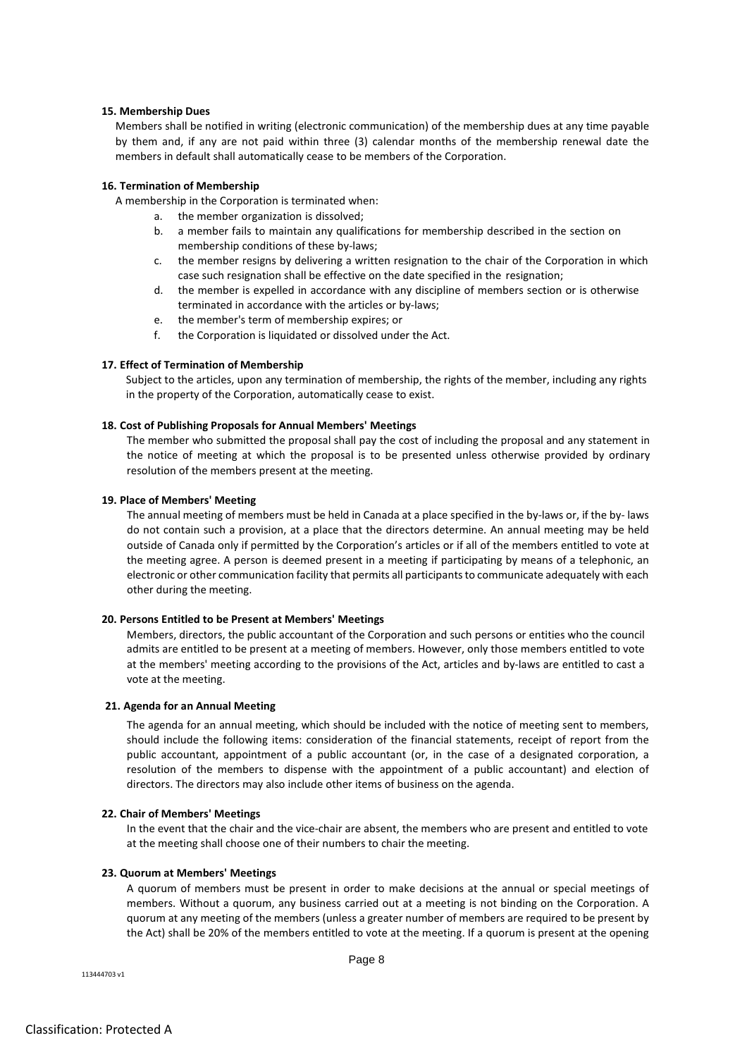# **15. Membership Dues**

Members shall be notified in writing (electronic communication) of the membership dues at any time payable by them and, if any are not paid within three (3) calendar months of the membership renewal date the members in default shall automatically cease to be members of the Corporation.

## **16. Termination of Membership**

A membership in the Corporation is terminated when:

- a. the member organization is dissolved;
- b. a member fails to maintain any qualifications for membership described in the section on membership conditions of these by-laws;
- c. the member resigns by delivering a written resignation to the chair of the Corporation in which case such resignation shall be effective on the date specified in the resignation;
- d. the member is expelled in accordance with any discipline of members section or is otherwise terminated in accordance with the articles or by-laws;
- e. the member's term of membership expires; or
- f. the Corporation is liquidated or dissolved under the Act.

### **17. Effect of Termination of Membership**

Subject to the articles, upon any termination of membership, the rights of the member, including any rights in the property of the Corporation, automatically cease to exist.

### **18. Cost of Publishing Proposals for Annual Members' Meetings**

The member who submitted the proposal shall pay the cost of including the proposal and any statement in the notice of meeting at which the proposal is to be presented unless otherwise provided by ordinary resolution of the members present at the meeting.

# **19. Place of Members' Meeting**

The annual meeting of members must be held in Canada at a place specified in the by-laws or, if the by- laws do not contain such a provision, at a place that the directors determine. An annual meeting may be held outside of Canada only if permitted by the Corporation's articles or if all of the members entitled to vote at the meeting agree. A person is deemed present in a meeting if participating by means of a telephonic, an electronic or other communication facility that permits all participants to communicate adequately with each other during the meeting.

#### **20. Persons Entitled to be Present at Members' Meetings**

Members, directors, the public accountant of the Corporation and such persons or entities who the council admits are entitled to be present at a meeting of members. However, only those members entitled to vote at the members' meeting according to the provisions of the Act, articles and by-laws are entitled to cast a vote at the meeting.

#### **21. Agenda for an Annual Meeting**

The agenda for an annual meeting, which should be included with the notice of meeting sent to members, should include the following items: consideration of the financial statements, receipt of report from the public accountant, appointment of a public accountant (or, in the case of a designated corporation, a resolution of the members to dispense with the appointment of a public accountant) and election of directors. The directors may also include other items of business on the agenda.

#### **22. Chair of Members' Meetings**

In the event that the chair and the vice-chair are absent, the members who are present and entitled to vote at the meeting shall choose one of their numbers to chair the meeting.

## **23. Quorum at Members' Meetings**

A quorum of members must be present in order to make decisions at the annual or special meetings of members. Without a quorum, any business carried out at a meeting is not binding on the Corporation. A quorum at any meeting of the members (unless a greater number of members are required to be present by the Act) shall be 20% of the members entitled to vote at the meeting. If a quorum is present at the opening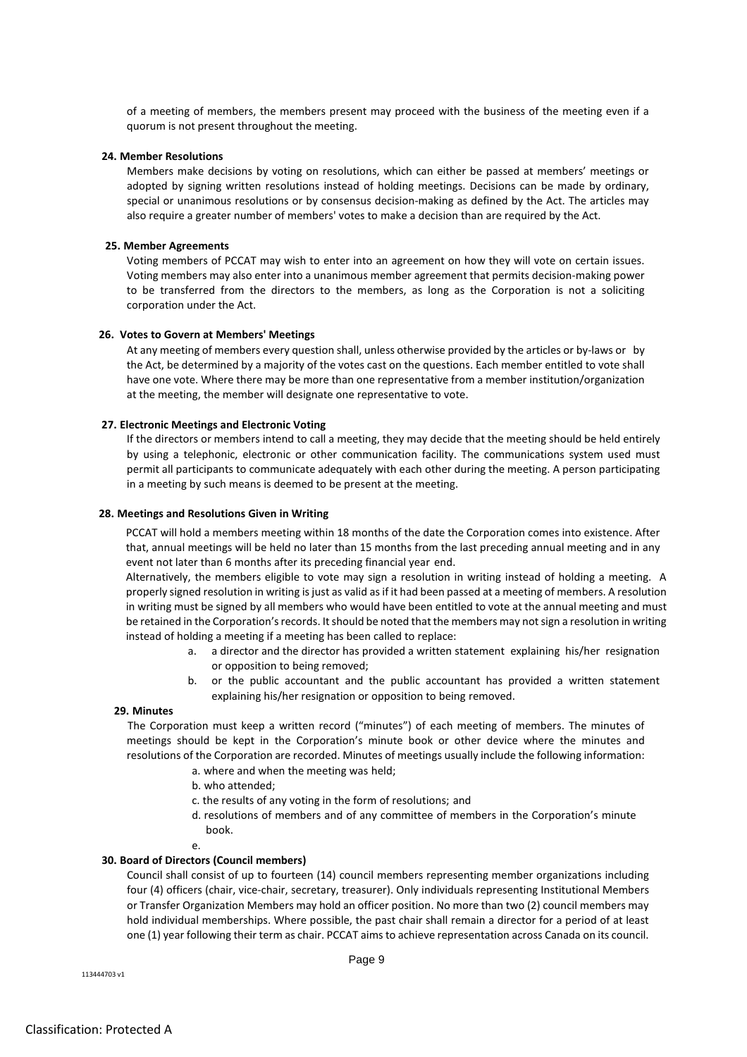of a meeting of members, the members present may proceed with the business of the meeting even if a quorum is not present throughout the meeting.

## **24. Member Resolutions**

Members make decisions by voting on resolutions, which can either be passed at members' meetings or adopted by signing written resolutions instead of holding meetings. Decisions can be made by ordinary, special or unanimous resolutions or by consensus decision-making as defined by the Act. The articles may also require a greater number of members' votes to make a decision than are required by the Act.

### **25. Member Agreements**

Voting members of PCCAT may wish to enter into an agreement on how they will vote on certain issues. Voting members may also enter into a unanimous member agreement that permits decision-making power to be transferred from the directors to the members, as long as the Corporation is not a soliciting corporation under the Act.

### **26. Votes to Govern at Members' Meetings**

At any meeting of members every question shall, unless otherwise provided by the articles or by-laws or by the Act, be determined by a majority of the votes cast on the questions. Each member entitled to vote shall have one vote. Where there may be more than one representative from a member institution/organization at the meeting, the member will designate one representative to vote.

# **27. Electronic Meetings and Electronic Voting**

If the directors or members intend to call a meeting, they may decide that the meeting should be held entirely by using a telephonic, electronic or other communication facility. The communications system used must permit all participants to communicate adequately with each other during the meeting. A person participating in a meeting by such means is deemed to be present at the meeting.

## **28. Meetings and Resolutions Given in Writing**

PCCAT will hold a members meeting within 18 months of the date the Corporation comes into existence. After that, annual meetings will be held no later than 15 months from the last preceding annual meeting and in any event not later than 6 months after its preceding financial year end.

Alternatively, the members eligible to vote may sign a resolution in writing instead of holding a meeting. A properly signed resolution in writing is just as valid as if it had been passed at a meeting of members. A resolution in writing must be signed by all members who would have been entitled to vote at the annual meeting and must be retained in the Corporation'srecords. It should be noted that the members may not sign a resolution in writing instead of holding a meeting if a meeting has been called to replace:

- a. a director and the director has provided a written statement explaining his/her resignation or opposition to being removed;
- b. or the public accountant and the public accountant has provided a written statement explaining his/her resignation or opposition to being removed.

# **29. Minutes**

The Corporation must keep a written record ("minutes") of each meeting of members. The minutes of meetings should be kept in the Corporation's minute book or other device where the minutes and resolutions of the Corporation are recorded. Minutes of meetings usually include the following information:

- a. where and when the meeting was held;
- b. who attended;
- c. the results of any voting in the form of resolutions; and
- d. resolutions of members and of any committee of members in the Corporation's minute book.

e.

# **30. Board of Directors (Council members)**

Council shall consist of up to fourteen (14) council members representing member organizations including four (4) officers (chair, vice-chair, secretary, treasurer). Only individuals representing Institutional Members or Transfer Organization Members may hold an officer position. No more than two (2) council members may hold individual memberships. Where possible, the past chair shall remain a director for a period of at least one (1) year following their term as chair. PCCAT aims to achieve representation across Canada on its council.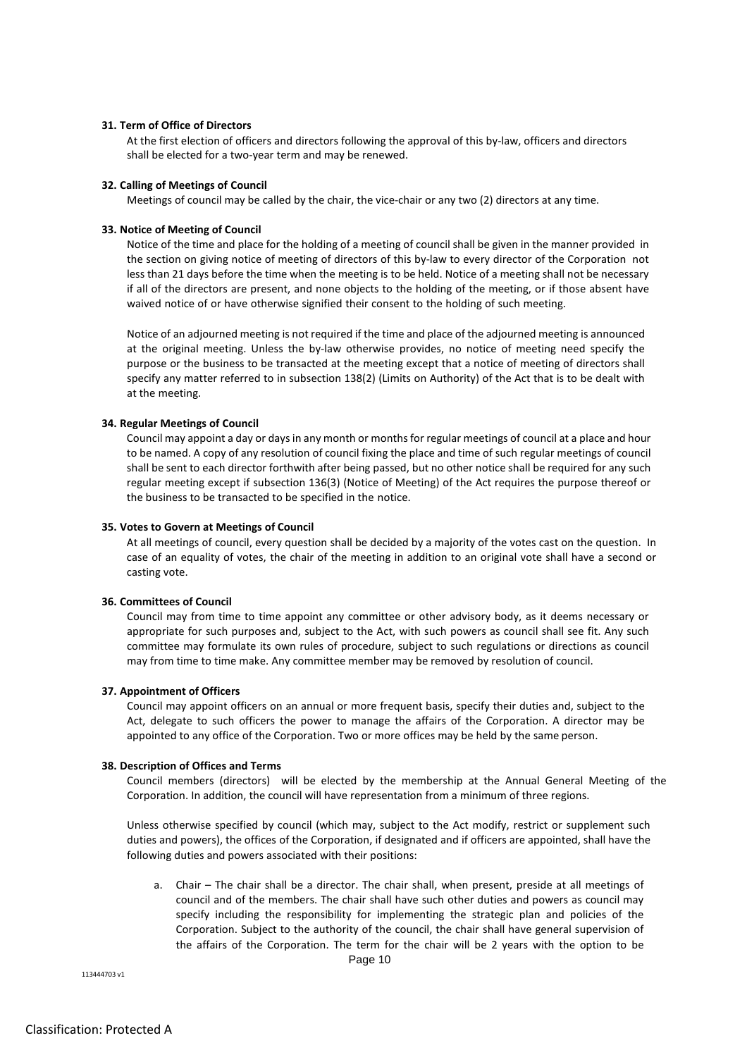# **31. Term of Office of Directors**

At the first election of officers and directors following the approval of this by-law, officers and directors shall be elected for a two-year term and may be renewed.

# **32. Calling of Meetings of Council**

Meetings of council may be called by the chair, the vice-chair or any two (2) directors at any time.

# **33. Notice of Meeting of Council**

Notice of the time and place for the holding of a meeting of council shall be given in the manner provided in the section on giving notice of meeting of directors of this by-law to every director of the Corporation not less than 21 days before the time when the meeting is to be held. Notice of a meeting shall not be necessary if all of the directors are present, and none objects to the holding of the meeting, or if those absent have waived notice of or have otherwise signified their consent to the holding of such meeting.

Notice of an adjourned meeting is not required if the time and place of the adjourned meeting is announced at the original meeting. Unless the by-law otherwise provides, no notice of meeting need specify the purpose or the business to be transacted at the meeting except that a notice of meeting of directors shall specify any matter referred to in subsection 138(2) (Limits on Authority) of the Act that is to be dealt with at the meeting.

# **34. Regular Meetings of Council**

Council may appoint a day or days in any month or months for regular meetings of council at a place and hour to be named. A copy of any resolution of council fixing the place and time of such regular meetings of council shall be sent to each director forthwith after being passed, but no other notice shall be required for any such regular meeting except if subsection 136(3) (Notice of Meeting) of the Act requires the purpose thereof or the business to be transacted to be specified in the notice.

# **35. Votes to Govern at Meetings of Council**

At all meetings of council, every question shall be decided by a majority of the votes cast on the question. In case of an equality of votes, the chair of the meeting in addition to an original vote shall have a second or casting vote.

# **36. Committees of Council**

Council may from time to time appoint any committee or other advisory body, as it deems necessary or appropriate for such purposes and, subject to the Act, with such powers as council shall see fit. Any such committee may formulate its own rules of procedure, subject to such regulations or directions as council may from time to time make. Any committee member may be removed by resolution of council.

# **37. Appointment of Officers**

Council may appoint officers on an annual or more frequent basis, specify their duties and, subject to the Act, delegate to such officers the power to manage the affairs of the Corporation. A director may be appointed to any office of the Corporation. Two or more offices may be held by the same person.

# **38. Description of Offices and Terms**

Council members (directors) will be elected by the membership at the Annual General Meeting of the Corporation. In addition, the council will have representation from a minimum of three regions.

Unless otherwise specified by council (which may, subject to the Act modify, restrict or supplement such duties and powers), the offices of the Corporation, if designated and if officers are appointed, shall have the following duties and powers associated with their positions:

a. Chair – The chair shall be a director. The chair shall, when present, preside at all meetings of council and of the members. The chair shall have such other duties and powers as council may specify including the responsibility for implementing the strategic plan and policies of the Corporation. Subject to the authority of the council, the chair shall have general supervision of the affairs of the Corporation. The term for the chair will be 2 years with the option to be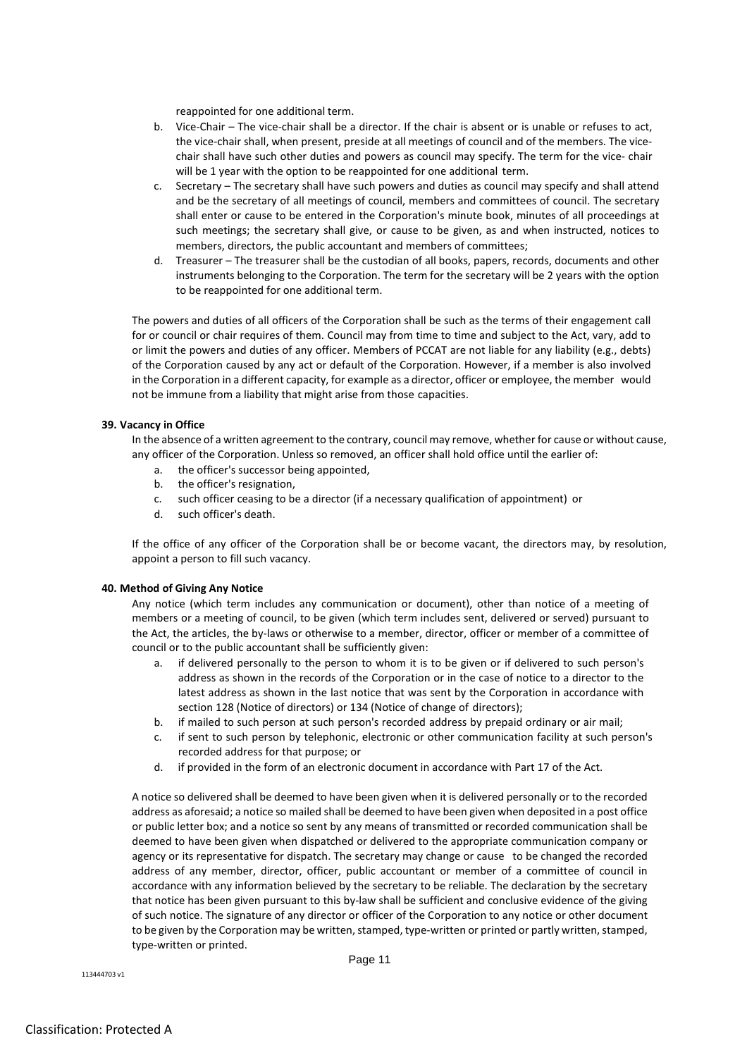reappointed for one additional term.

- b. Vice-Chair The vice-chair shall be a director. If the chair is absent or is unable or refuses to act, the vice-chair shall, when present, preside at all meetings of council and of the members. The vicechair shall have such other duties and powers as council may specify. The term for the vice- chair will be 1 year with the option to be reappointed for one additional term.
- c. Secretary The secretary shall have such powers and duties as council may specify and shall attend and be the secretary of all meetings of council, members and committees of council. The secretary shall enter or cause to be entered in the Corporation's minute book, minutes of all proceedings at such meetings; the secretary shall give, or cause to be given, as and when instructed, notices to members, directors, the public accountant and members of committees;
- d. Treasurer The treasurer shall be the custodian of all books, papers, records, documents and other instruments belonging to the Corporation. The term for the secretary will be 2 years with the option to be reappointed for one additional term.

The powers and duties of all officers of the Corporation shall be such as the terms of their engagement call for or council or chair requires of them. Council may from time to time and subject to the Act, vary, add to or limit the powers and duties of any officer. Members of PCCAT are not liable for any liability (e.g., debts) of the Corporation caused by any act or default of the Corporation. However, if a member is also involved in the Corporation in a different capacity, for example as a director, officer or employee, the member would not be immune from a liability that might arise from those capacities.

# **39. Vacancy in Office**

In the absence of a written agreement to the contrary, council may remove, whether for cause or without cause, any officer of the Corporation. Unless so removed, an officer shall hold office until the earlier of:

- a. the officer's successor being appointed,
- b. the officer's resignation,
- c. such officer ceasing to be a director (if a necessary qualification of appointment) or
- d. such officer's death.

If the office of any officer of the Corporation shall be or become vacant, the directors may, by resolution, appoint a person to fill such vacancy.

# **40. Method of Giving Any Notice**

Any notice (which term includes any communication or document), other than notice of a meeting of members or a meeting of council, to be given (which term includes sent, delivered or served) pursuant to the Act, the articles, the by-laws or otherwise to a member, director, officer or member of a committee of council or to the public accountant shall be sufficiently given:

- a. if delivered personally to the person to whom it is to be given or if delivered to such person's address as shown in the records of the Corporation or in the case of notice to a director to the latest address as shown in the last notice that was sent by the Corporation in accordance with section 128 (Notice of directors) or 134 (Notice of change of directors);
- b. if mailed to such person at such person's recorded address by prepaid ordinary or air mail;
- c. if sent to such person by telephonic, electronic or other communication facility at such person's recorded address for that purpose; or
- d. if provided in the form of an electronic document in accordance with Part 17 of the Act.

A notice so delivered shall be deemed to have been given when it is delivered personally or to the recorded address as aforesaid; a notice so mailed shall be deemed to have been given when deposited in a post office or public letter box; and a notice so sent by any means of transmitted or recorded communication shall be deemed to have been given when dispatched or delivered to the appropriate communication company or agency or its representative for dispatch. The secretary may change or cause to be changed the recorded address of any member, director, officer, public accountant or member of a committee of council in accordance with any information believed by the secretary to be reliable. The declaration by the secretary that notice has been given pursuant to this by-law shall be sufficient and conclusive evidence of the giving of such notice. The signature of any director or officer of the Corporation to any notice or other document to be given by the Corporation may be written, stamped, type-written or printed or partly written, stamped, type-written or printed.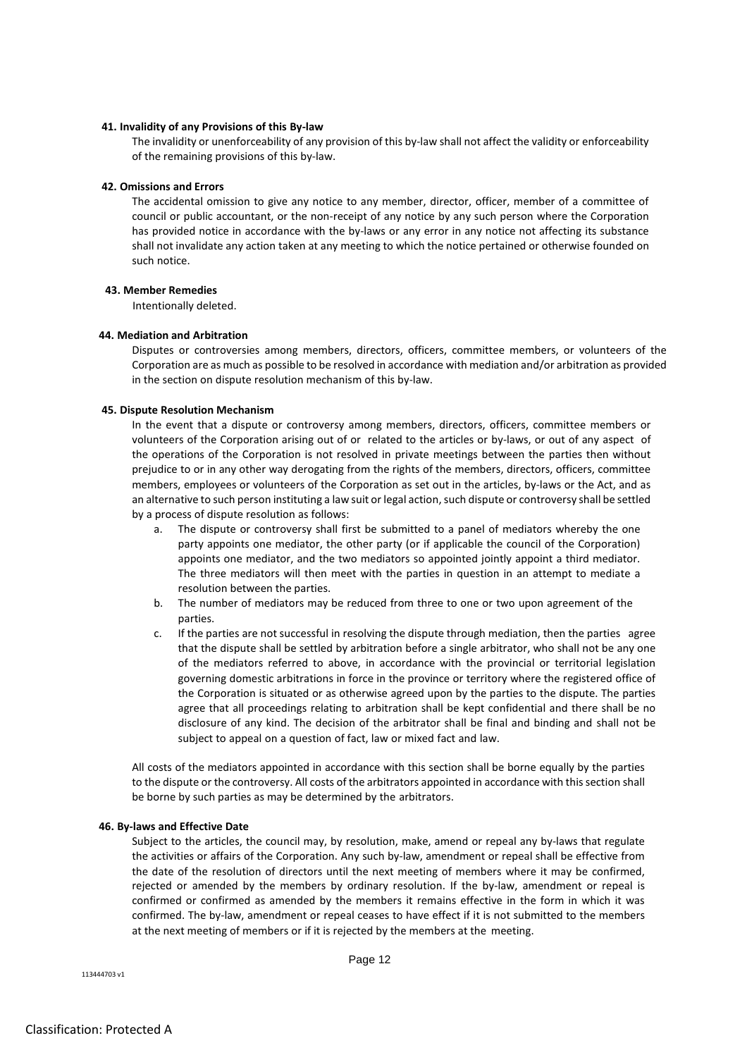#### **41. Invalidity of any Provisions of this By-law**

The invalidity or unenforceability of any provision of this by-law shall not affect the validity or enforceability of the remaining provisions of this by-law.

#### **42. Omissions and Errors**

The accidental omission to give any notice to any member, director, officer, member of a committee of council or public accountant, or the non-receipt of any notice by any such person where the Corporation has provided notice in accordance with the by-laws or any error in any notice not affecting its substance shall not invalidate any action taken at any meeting to which the notice pertained or otherwise founded on such notice.

#### **43. Member Remedies**

Intentionally deleted.

#### **44. Mediation and Arbitration**

Disputes or controversies among members, directors, officers, committee members, or volunteers of the Corporation are as much as possible to be resolved in accordance with mediation and/or arbitration as provided in the section on dispute resolution mechanism of this by-law.

## **45. Dispute Resolution Mechanism**

In the event that a dispute or controversy among members, directors, officers, committee members or volunteers of the Corporation arising out of or related to the articles or by-laws, or out of any aspect of the operations of the Corporation is not resolved in private meetings between the parties then without prejudice to or in any other way derogating from the rights of the members, directors, officers, committee members, employees or volunteers of the Corporation as set out in the articles, by-laws or the Act, and as an alternative to such person instituting a law suit or legal action, such dispute or controversy shall be settled by a process of dispute resolution as follows:

- a. The dispute or controversy shall first be submitted to a panel of mediators whereby the one party appoints one mediator, the other party (or if applicable the council of the Corporation) appoints one mediator, and the two mediators so appointed jointly appoint a third mediator. The three mediators will then meet with the parties in question in an attempt to mediate a resolution between the parties.
- b. The number of mediators may be reduced from three to one or two upon agreement of the parties.
- c. If the parties are not successful in resolving the dispute through mediation, then the parties agree that the dispute shall be settled by arbitration before a single arbitrator, who shall not be any one of the mediators referred to above, in accordance with the provincial or territorial legislation governing domestic arbitrations in force in the province or territory where the registered office of the Corporation is situated or as otherwise agreed upon by the parties to the dispute. The parties agree that all proceedings relating to arbitration shall be kept confidential and there shall be no disclosure of any kind. The decision of the arbitrator shall be final and binding and shall not be subject to appeal on a question of fact, law or mixed fact and law.

All costs of the mediators appointed in accordance with this section shall be borne equally by the parties to the dispute or the controversy. All costs of the arbitrators appointed in accordance with this section shall be borne by such parties as may be determined by the arbitrators.

#### **46. By-laws and Effective Date**

Subject to the articles, the council may, by resolution, make, amend or repeal any by-laws that regulate the activities or affairs of the Corporation. Any such by-law, amendment or repeal shall be effective from the date of the resolution of directors until the next meeting of members where it may be confirmed, rejected or amended by the members by ordinary resolution. If the by-law, amendment or repeal is confirmed or confirmed as amended by the members it remains effective in the form in which it was confirmed. The by-law, amendment or repeal ceases to have effect if it is not submitted to the members at the next meeting of members or if it is rejected by the members at the meeting.